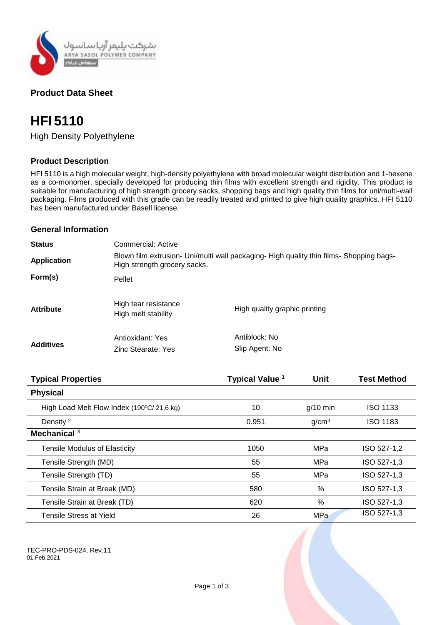

# **Product Data Sheet**

# **HFI 5110**

High Density Polyethylene

# **Product Description**

HFI 5110 is a high molecular weight, high-density polyethylene with broad molecular weight distribution and 1-hexene as a co-monomer, specially developed for producing thin films with excellent strength and rigidity. This product is suitable for manufacturing of high strength grocery sacks, shopping bags and high quality thin films for uni/multi-wall packaging. Films produced with this grade can be readily treated and printed to give high quality graphics. HFI 5110 has been manufactured under Basell license.

# **General Information**

| <b>Status</b>      | Commercial: Active                                                                                                      |                                 |  |
|--------------------|-------------------------------------------------------------------------------------------------------------------------|---------------------------------|--|
| <b>Application</b> | Blown film extrusion- Uni/multi wall packaging- High quality thin films- Shopping bags-<br>High strength grocery sacks. |                                 |  |
| Form(s)            | Pellet                                                                                                                  |                                 |  |
| <b>Attribute</b>   | High tear resistance<br>High melt stability                                                                             | High quality graphic printing   |  |
| <b>Additives</b>   | Antioxidant: Yes<br>Zinc Stearate: Yes                                                                                  | Antiblock: No<br>Slip Agent: No |  |

| <b>Typical Properties</b>                 | Typical Value <sup>1</sup> | <b>Unit</b>       | <b>Test Method</b> |
|-------------------------------------------|----------------------------|-------------------|--------------------|
| <b>Physical</b>                           |                            |                   |                    |
| High Load Melt Flow Index (190°C/21.6 kg) | 10                         | $g/10$ min        | <b>ISO 1133</b>    |
| Density <sup>2</sup>                      | 0.951                      | g/cm <sup>3</sup> | <b>ISO 1183</b>    |
| Mechanical <sup>3</sup>                   |                            |                   |                    |
| <b>Tensile Modulus of Elasticity</b>      | 1050                       | MPa               | ISO 527-1,2        |
| Tensile Strength (MD)                     | 55                         | MPa               | ISO 527-1,3        |
| Tensile Strength (TD)                     | 55                         | MPa               | ISO 527-1,3        |
| Tensile Strain at Break (MD)              | 580                        | $\%$              | ISO 527-1,3        |
| Tensile Strain at Break (TD)              | 620                        | %                 | ISO 527-1,3        |
| Tensile Stress at Yield                   | 26                         | MPa               | ISO 527-1,3        |

TEC-PRO-PDS-024, Rev.11 01.Feb.2021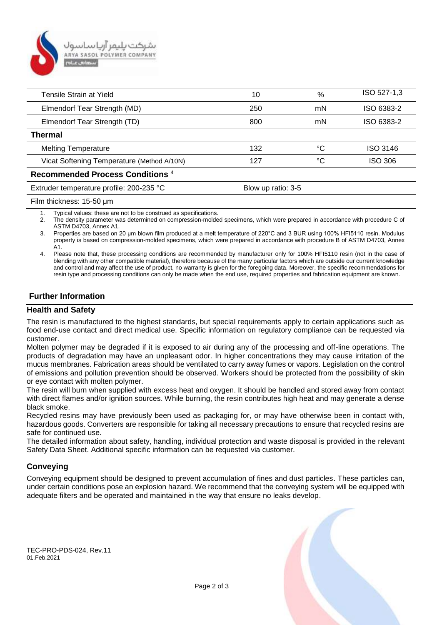

| Tensile Strain at Yield                     | 10                 | %  | ISO 527-1,3     |
|---------------------------------------------|--------------------|----|-----------------|
| Elmendorf Tear Strength (MD)                | 250                | mN | ISO 6383-2      |
| Elmendorf Tear Strength (TD)                | 800                | mN | ISO 6383-2      |
| <b>Thermal</b>                              |                    |    |                 |
| <b>Melting Temperature</b>                  | 132                | °C | <b>ISO 3146</b> |
| Vicat Softening Temperature (Method A/10N)  | 127                | °C | <b>ISO 306</b>  |
| Recommended Process Conditions <sup>4</sup> |                    |    |                 |
| Extruder temperature profile: 200-235 °C    | Blow up ratio: 3-5 |    |                 |
|                                             |                    |    |                 |

#### Film thickness: 15-50 μm

1. Typical values: these are not to be construed as specifications.

2. The density parameter was determined on compression-molded specimens, which were prepared in accordance with procedure C of ASTM D4703, Annex A1.

3. Properties are based on 20 μm blown film produced at a melt temperature of 220°C and 3 BUR using 100% HFI5110 resin. Modulus property is based on compression-molded specimens, which were prepared in accordance with procedure B of ASTM D4703, Annex A1.

4. Please note that, these processing conditions are recommended by manufacturer only for 100% HFI5110 resin (not in the case of blending with any other compatible material), therefore because of the many particular factors which are outside our current knowledge and control and may affect the use of product, no warranty is given for the foregoing data. Moreover, the specific recommendations for resin type and processing conditions can only be made when the end use, required properties and fabrication equipment are known.

# **Further Information**

#### **Health and Safety**

The resin is manufactured to the highest standards, but special requirements apply to certain applications such as food end-use contact and direct medical use. Specific information on regulatory compliance can be requested via customer.

Molten polymer may be degraded if it is exposed to air during any of the processing and off-line operations. The products of degradation may have an unpleasant odor. In higher concentrations they may cause irritation of the mucus membranes. Fabrication areas should be ventilated to carry away fumes or vapors. Legislation on the control of emissions and pollution prevention should be observed. Workers should be protected from the possibility of skin or eye contact with molten polymer.

The resin will burn when supplied with excess heat and oxygen. It should be handled and stored away from contact with direct flames and/or ignition sources. While burning, the resin contributes high heat and may generate a dense black smoke.

Recycled resins may have previously been used as packaging for, or may have otherwise been in contact with, hazardous goods. Converters are responsible for taking all necessary precautions to ensure that recycled resins are safe for continued use.

The detailed information about safety, handling, individual protection and waste disposal is provided in the relevant Safety Data Sheet. Additional specific information can be requested via customer.

#### **Conveying**

Conveying equipment should be designed to prevent accumulation of fines and dust particles. These particles can, under certain conditions pose an explosion hazard. We recommend that the conveying system will be equipped with adequate filters and be operated and maintained in the way that ensure no leaks develop.

TEC-PRO-PDS-024, Rev.11 01.Feb.2021